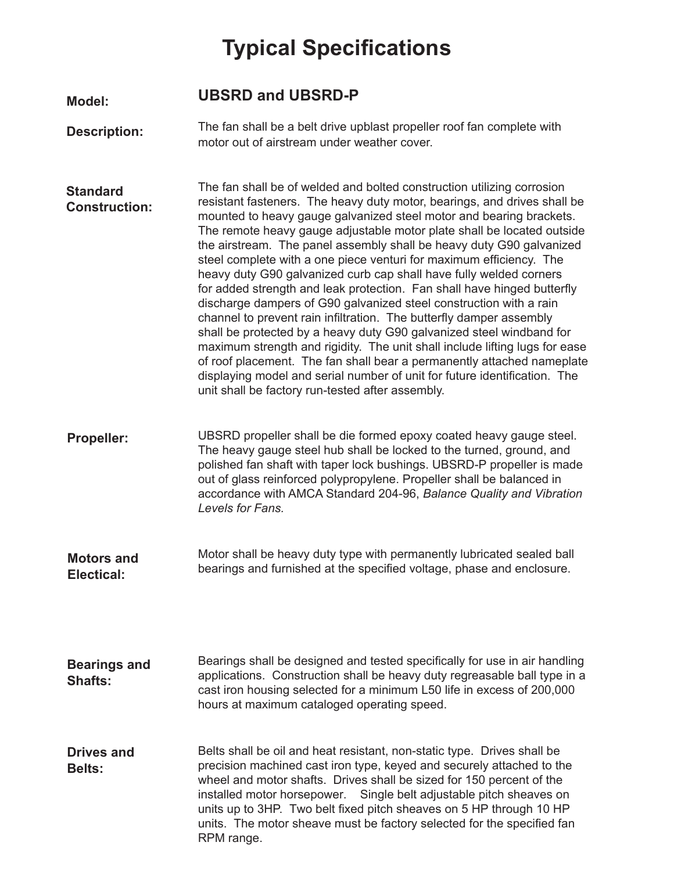## **Typical Specifications**

## **Model: UBSRD and UBSRD-P**

**Description:** The fan shall be a belt drive upblast propeller roof fan complete with motor out of airstream under weather cover.

The fan shall be of welded and bolted construction utilizing corrosion resistant fasteners. The heavy duty motor, bearings, and drives shall be mounted to heavy gauge galvanized steel motor and bearing brackets. The remote heavy gauge adjustable motor plate shall be located outside the airstream. The panel assembly shall be heavy duty G90 galvanized steel complete with a one piece venturi for maximum efficiency. The heavy duty G90 galvanized curb cap shall have fully welded corners for added strength and leak protection. Fan shall have hinged butterfly discharge dampers of G90 galvanized steel construction with a rain channel to prevent rain infiltration. The butterfly damper assembly shall be protected by a heavy duty G90 galvanized steel windband for maximum strength and rigidity. The unit shall include lifting lugs for ease of roof placement. The fan shall bear a permanently attached nameplate displaying model and serial number of unit for future identification. The unit shall be factory run-tested after assembly. **Standard Construction:**

UBSRD propeller shall be die formed epoxy coated heavy gauge steel. **Propeller:** The heavy gauge steel hub shall be locked to the turned, ground, and polished fan shaft with taper lock bushings. UBSRD-P propeller is made out of glass reinforced polypropylene. Propeller shall be balanced in accordance with AMCA Standard 204-96, *Balance Quality and Vibration Levels for Fans.*

Motor shall be heavy duty type with permanently lubricated sealed ball bearings and furnished at the specified voltage, phase and enclosure. **Motors and Electical:** 

Bearings shall be designed and tested specifically for use in air handling applications. Construction shall be heavy duty regreasable ball type in a cast iron housing selected for a minimum L50 life in excess of 200,000 hours at maximum cataloged operating speed. **Bearings and Shafts:**

Belts shall be oil and heat resistant, non-static type. Drives shall be precision machined cast iron type, keyed and securely attached to the wheel and motor shafts. Drives shall be sized for 150 percent of the installed motor horsepower. Single belt adjustable pitch sheaves on units up to 3HP. Two belt fixed pitch sheaves on 5 HP through 10 HP units. The motor sheave must be factory selected for the specified fan RPM range. **Drives and Belts:**